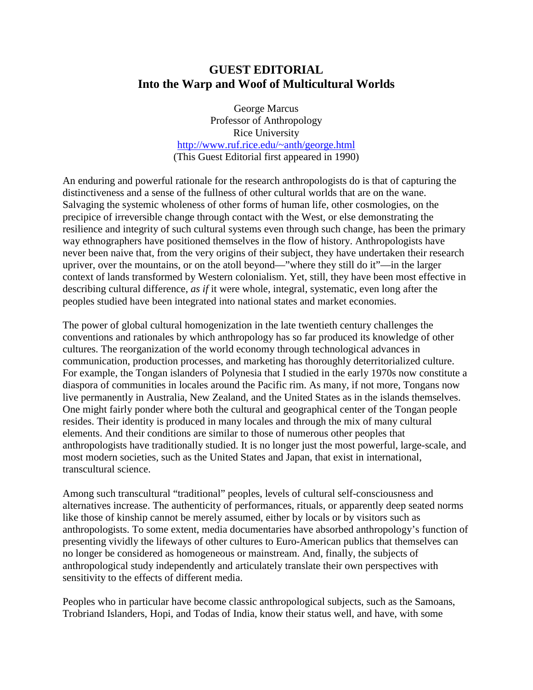## **GUEST EDITORIAL Into the Warp and Woof of Multicultural Worlds**

George Marcus Professor of Anthropology Rice University http://www.ruf.rice.edu/~anth/george.html (This Guest Editorial first appeared in 1990)

An enduring and powerful rationale for the research anthropologists do is that of capturing the distinctiveness and a sense of the fullness of other cultural worlds that are on the wane. Salvaging the systemic wholeness of other forms of human life, other cosmologies, on the precipice of irreversible change through contact with the West, or else demonstrating the resilience and integrity of such cultural systems even through such change, has been the primary way ethnographers have positioned themselves in the flow of history. Anthropologists have never been naive that, from the very origins of their subject, they have undertaken their research upriver, over the mountains, or on the atoll beyond—"where they still do it"—in the larger context of lands transformed by Western colonialism. Yet, still, they have been most effective in describing cultural difference, *as if* it were whole, integral, systematic, even long after the peoples studied have been integrated into national states and market economies.

The power of global cultural homogenization in the late twentieth century challenges the conventions and rationales by which anthropology has so far produced its knowledge of other cultures. The reorganization of the world economy through technological advances in communication, production processes, and marketing has thoroughly deterritorialized culture. For example, the Tongan islanders of Polynesia that I studied in the early 1970s now constitute a diaspora of communities in locales around the Pacific rim. As many, if not more, Tongans now live permanently in Australia, New Zealand, and the United States as in the islands themselves. One might fairly ponder where both the cultural and geographical center of the Tongan people resides. Their identity is produced in many locales and through the mix of many cultural elements. And their conditions are similar to those of numerous other peoples that anthropologists have traditionally studied. It is no longer just the most powerful, large-scale, and most modern societies, such as the United States and Japan, that exist in international, transcultural science.

Among such transcultural "traditional" peoples, levels of cultural self-consciousness and alternatives increase. The authenticity of performances, rituals, or apparently deep seated norms like those of kinship cannot be merely assumed, either by locals or by visitors such as anthropologists. To some extent, media documentaries have absorbed anthropology's function of presenting vividly the lifeways of other cultures to Euro-American publics that themselves can no longer be considered as homogeneous or mainstream. And, finally, the subjects of anthropological study independently and articulately translate their own perspectives with sensitivity to the effects of different media.

Peoples who in particular have become classic anthropological subjects, such as the Samoans, Trobriand Islanders, Hopi, and Todas of India, know their status well, and have, with some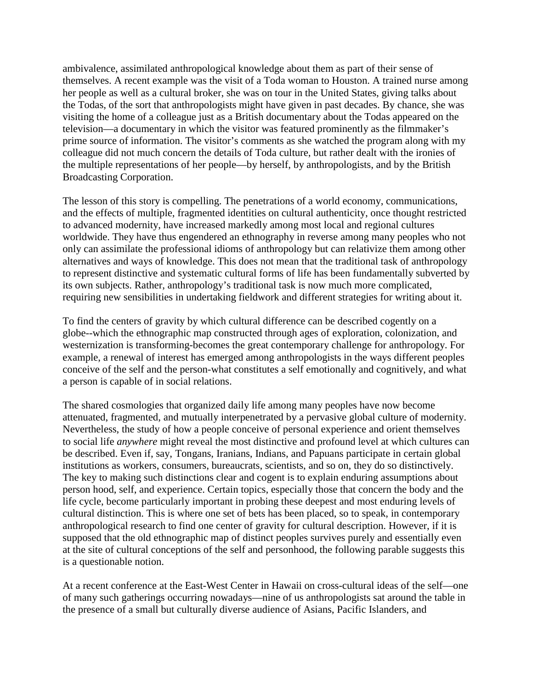ambivalence, assimilated anthropological knowledge about them as part of their sense of themselves. A recent example was the visit of a Toda woman to Houston. A trained nurse among her people as well as a cultural broker, she was on tour in the United States, giving talks about the Todas, of the sort that anthropologists might have given in past decades. By chance, she was visiting the home of a colleague just as a British documentary about the Todas appeared on the television—a documentary in which the visitor was featured prominently as the filmmaker's prime source of information. The visitor's comments as she watched the program along with my colleague did not much concern the details of Toda culture, but rather dealt with the ironies of the multiple representations of her people—by herself, by anthropologists, and by the British Broadcasting Corporation.

The lesson of this story is compelling. The penetrations of a world economy, communications, and the effects of multiple, fragmented identities on cultural authenticity, once thought restricted to advanced modernity, have increased markedly among most local and regional cultures worldwide. They have thus engendered an ethnography in reverse among many peoples who not only can assimilate the professional idioms of anthropology but can relativize them among other alternatives and ways of knowledge. This does not mean that the traditional task of anthropology to represent distinctive and systematic cultural forms of life has been fundamentally subverted by its own subjects. Rather, anthropology's traditional task is now much more complicated, requiring new sensibilities in undertaking fieldwork and different strategies for writing about it.

To find the centers of gravity by which cultural difference can be described cogently on a globe--which the ethnographic map constructed through ages of exploration, colonization, and westernization is transforming-becomes the great contemporary challenge for anthropology. For example, a renewal of interest has emerged among anthropologists in the ways different peoples conceive of the self and the person-what constitutes a self emotionally and cognitively, and what a person is capable of in social relations.

The shared cosmologies that organized daily life among many peoples have now become attenuated, fragmented, and mutually interpenetrated by a pervasive global culture of modernity. Nevertheless, the study of how a people conceive of personal experience and orient themselves to social life *anywhere* might reveal the most distinctive and profound level at which cultures can be described. Even if, say, Tongans, Iranians, Indians, and Papuans participate in certain global institutions as workers, consumers, bureaucrats, scientists, and so on, they do so distinctively. The key to making such distinctions clear and cogent is to explain enduring assumptions about person hood, self, and experience. Certain topics, especially those that concern the body and the life cycle, become particularly important in probing these deepest and most enduring levels of cultural distinction. This is where one set of bets has been placed, so to speak, in contemporary anthropological research to find one center of gravity for cultural description. However, if it is supposed that the old ethnographic map of distinct peoples survives purely and essentially even at the site of cultural conceptions of the self and personhood, the following parable suggests this is a questionable notion.

At a recent conference at the East-West Center in Hawaii on cross-cultural ideas of the self—one of many such gatherings occurring nowadays—nine of us anthropologists sat around the table in the presence of a small but culturally diverse audience of Asians, Pacific Islanders, and